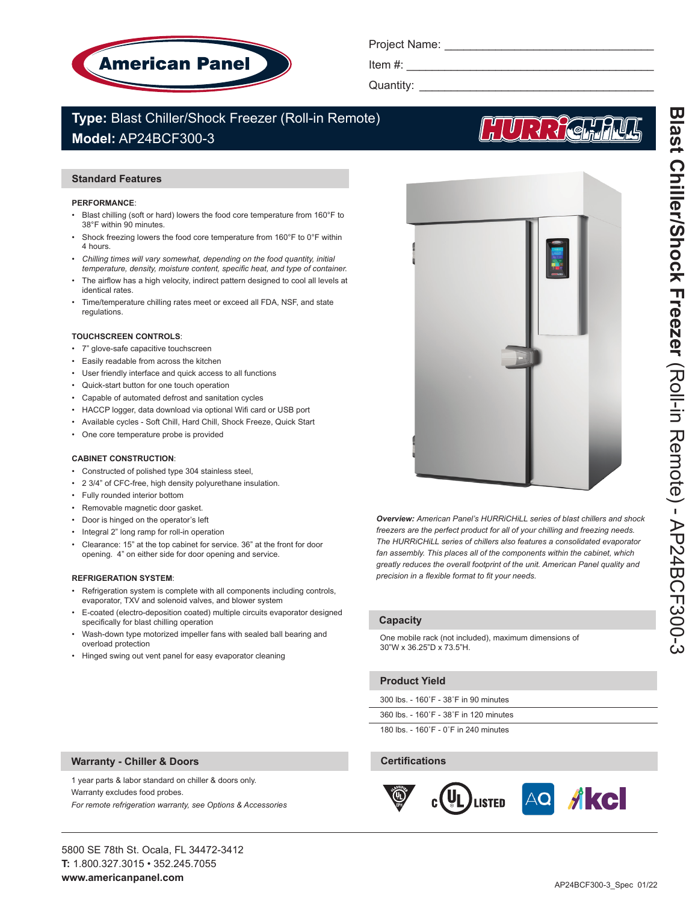

Project Name: \_\_\_\_\_\_\_\_\_\_\_\_\_\_\_\_\_\_\_\_\_\_\_\_\_\_\_\_\_\_\_\_\_

Item  $#$ :

Quantity: \_\_\_\_\_\_\_\_\_\_\_\_\_\_\_\_\_\_\_\_\_\_\_\_\_\_\_\_\_\_\_\_\_\_\_\_\_

# **Type:** Blast Chiller/Shock Freezer (Roll-in Remote) **Model:** AP24BCF300-3

# **Standard Features**

#### **PERFORMANCE**:

- Blast chilling (soft or hard) lowers the food core temperature from 160°F to 38°F within 90 minutes.
- Shock freezing lowers the food core temperature from 160°F to 0°F within 4 hours.
- Chilling times will vary somewhat, depending on the food quantity, initial *temperature, density, moisture content, specific heat, and type of container.*
- The airflow has a high velocity, indirect pattern designed to cool all levels at identical rates.
- Time/temperature chilling rates meet or exceed all FDA, NSF, and state regulations.

#### **TOUCHSCREEN CONTROLS**:

- 7" glove-safe capacitive touchscreen
- Easily readable from across the kitchen
- User friendly interface and quick access to all functions
- Quick-start button for one touch operation
- Capable of automated defrost and sanitation cycles
- HACCP logger, data download via optional Wifi card or USB port
- Available cycles Soft Chill, Hard Chill, Shock Freeze, Quick Start
- One core temperature probe is provided

#### **CABINET CONSTRUCTION**:

- Constructed of polished type 304 stainless steel,
- 2 3/4" of CFC-free, high density polyurethane insulation.
- Fully rounded interior bottom
- Removable magnetic door gasket.
- Door is hinged on the operator's left
- Integral 2" long ramp for roll-in operation
- Clearance: 15" at the top cabinet for service. 36" at the front for door opening. 4" on either side for door opening and service.

#### **REFRIGERATION SYSTEM**:

- Refrigeration system is complete with all components including controls, evaporator, TXV and solenoid valves, and blower system
- E-coated (electro-deposition coated) multiple circuits evaporator designed specifically for blast chilling operation
- Wash-down type motorized impeller fans with sealed ball bearing and overload protection
- Hinged swing out vent panel for easy evaporator cleaning

*Overview: American Panel's HURRiCHiLL series of blast chillers and shock freezers are the perfect product for all of your chilling and freezing needs. The HURRiCHiLL series of chillers also features a consolidated evaporator fan assembly. This places all of the components within the cabinet, which greatly reduces the overall footprint of the unit. American Panel quality and precision in a flexible format to fit your needs.* 

# **Capacity**

One mobile rack (not included), maximum dimensions of 30"W x 36.25"D x 73.5"H.

# **Product Yield**

300 lbs. - 160˚F - 38˚F in 90 minutes

360 lbs. - 160˚F - 38˚F in 120 minutes

180 lbs. - 160˚F - 0˚F in 240 minutes

# **Certifications**



1 year parts & labor standard on chiller & doors only.

*For remote refrigeration warranty, see Options & Accessories*

**Warranty - Chiller & Doors**

Warranty excludes food probes.